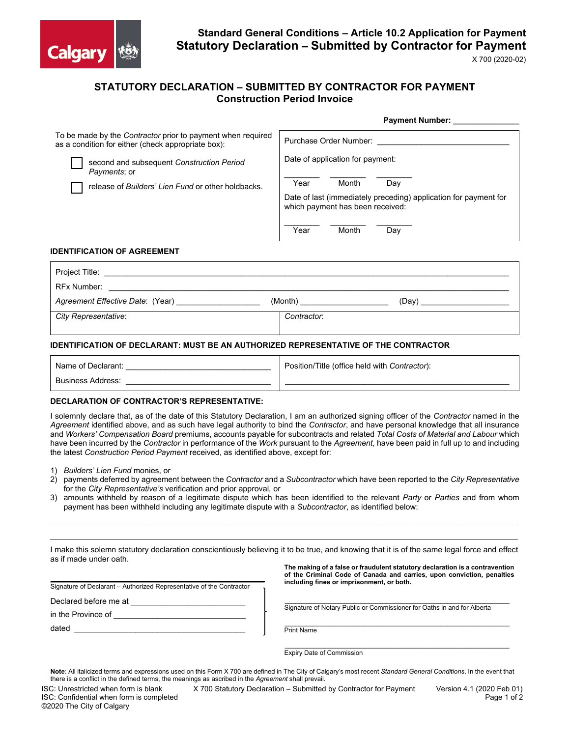

# **Standard General Conditions – Article 10.2 Application for Payment Statutory Declaration – Submitted by Contractor for Payment**

**Payment Number:** 

X 700 (2020-02)

## **STATUTORY DECLARATION – SUBMITTED BY CONTRACTOR FOR PAYMENT Construction Period Invoice**

| To be made by the Contractor prior to payment when required<br>as a condition for either (check appropriate box): | Purchase Order Number:                                                                               |  |  |  |
|-------------------------------------------------------------------------------------------------------------------|------------------------------------------------------------------------------------------------------|--|--|--|
| second and subsequent Construction Period<br>Payments; or                                                         | Date of application for payment:                                                                     |  |  |  |
| release of Builders' Lien Fund or other holdbacks.                                                                | Month<br>Year<br>Day                                                                                 |  |  |  |
|                                                                                                                   | Date of last (immediately preceding) application for payment for<br>which payment has been received: |  |  |  |
|                                                                                                                   | Month<br>Year<br>Day                                                                                 |  |  |  |

#### **IDENTIFICATION OF AGREEMENT**

| Project Title:                   |                  |  |  |  |
|----------------------------------|------------------|--|--|--|
| <b>RFx Number:</b>               |                  |  |  |  |
| Agreement Effective Date: (Year) | (Month)<br>(Dav) |  |  |  |
| City Representative:             | Contractor:      |  |  |  |
|                                  |                  |  |  |  |

#### **IDENTIFICATION OF DECLARANT: MUST BE AN AUTHORIZED REPRESENTATIVE OF THE CONTRACTOR**

| Name of Declarant:       | Position/Title (office held with Contractor): |
|--------------------------|-----------------------------------------------|
| <b>Business Address:</b> |                                               |

#### **DECLARATION OF CONTRACTOR'S REPRESENTATIVE:**

I solemnly declare that, as of the date of this Statutory Declaration, I am an authorized signing officer of the *Contractor* named in the *Agreement* identified above, and as such have legal authority to bind the *Contractor*, and have personal knowledge that all insurance and *Workers' Compensation Board* premiums, accounts payable for subcontracts and related *Total Costs of Material and Labour* which have been incurred by the *Contractor* in performance of the *Work* pursuant to the *Agreement*, have been paid in full up to and including the latest *Construction Period Payment* received, as identified above, except for:

- 1) *Builders' Lien Fund* monies, or
- 2) payments deferred by agreement between the *Contractor* and a *Subcontractor* which have been reported to the *City Representative* for the *City Representative's* verification and prior approval*,* or
- 3) amounts withheld by reason of a legitimate dispute which has been identified to the relevant *Party* or *Parties* and from whom payment has been withheld including any legitimate dispute with a *Subcontractor*, as identified below:

 $\_$  ,  $\_$  ,  $\_$  ,  $\_$  ,  $\_$  ,  $\_$  ,  $\_$  ,  $\_$  ,  $\_$  ,  $\_$  ,  $\_$  ,  $\_$  ,  $\_$  ,  $\_$  ,  $\_$  ,  $\_$  ,  $\_$  ,  $\_$  ,  $\_$  ,  $\_$  ,  $\_$  ,  $\_$  ,  $\_$  ,  $\_$  ,  $\_$  ,  $\_$  ,  $\_$  ,  $\_$  ,  $\_$  ,  $\_$  ,  $\_$  ,  $\_$  ,  $\_$  ,  $\_$  ,  $\_$  ,  $\_$  ,  $\_$  ,  $\mathcal{L}_\mathcal{L} = \mathcal{L}_\mathcal{L} = \mathcal{L}_\mathcal{L} = \mathcal{L}_\mathcal{L} = \mathcal{L}_\mathcal{L} = \mathcal{L}_\mathcal{L} = \mathcal{L}_\mathcal{L} = \mathcal{L}_\mathcal{L} = \mathcal{L}_\mathcal{L} = \mathcal{L}_\mathcal{L} = \mathcal{L}_\mathcal{L} = \mathcal{L}_\mathcal{L} = \mathcal{L}_\mathcal{L} = \mathcal{L}_\mathcal{L} = \mathcal{L}_\mathcal{L} = \mathcal{L}_\mathcal{L} = \mathcal{L}_\mathcal{L}$ 

|                        |  | I make this solemn statutory declaration conscientiously believing it to be true, and knowing that it is of the same legal force and effect |
|------------------------|--|---------------------------------------------------------------------------------------------------------------------------------------------|
| as if made under oath. |  |                                                                                                                                             |

**\_\_\_\_\_\_\_\_\_\_\_\_\_\_\_\_\_\_\_\_\_\_\_\_\_\_\_\_\_\_\_\_\_\_\_\_\_\_\_\_\_\_\_\_\_\_** Signature of Declarant – Authorized Representative of the Contractor

Declared before me at

in the Province of \_\_\_\_\_\_\_\_\_\_\_\_\_\_\_\_\_\_\_\_\_\_\_\_\_\_\_\_\_\_

dated

**The making of a false or fraudulent statutory declaration is a contravention of the Criminal Code of Canada and carries, upon conviction, penalties including fines or imprisonment, or both.**

 $\_$  ,  $\_$  ,  $\_$  ,  $\_$  ,  $\_$  ,  $\_$  ,  $\_$  ,  $\_$  ,  $\_$  ,  $\_$  ,  $\_$  ,  $\_$  ,  $\_$  ,  $\_$  ,  $\_$  ,  $\_$  ,  $\_$  ,  $\_$  ,  $\_$  ,  $\_$ Signature of Notary Public or Commissioner for Oaths in and for Alberta

 $\_$  ,  $\_$  ,  $\_$  ,  $\_$  ,  $\_$  ,  $\_$  ,  $\_$  ,  $\_$  ,  $\_$  ,  $\_$  ,  $\_$  ,  $\_$  ,  $\_$  ,  $\_$  ,  $\_$  ,  $\_$  ,  $\_$  ,  $\_$  ,  $\_$  ,  $\_$ Print Name

 $\mathcal{L}_\text{max}$  and  $\mathcal{L}_\text{max}$  and  $\mathcal{L}_\text{max}$  and  $\mathcal{L}_\text{max}$  and  $\mathcal{L}_\text{max}$  and  $\mathcal{L}_\text{max}$ Expiry Date of Commission

**Note**: All italicized terms and expressions used on this Form X 700 are defined in The City of Calgary's most recent *Standard General Conditions*. In the event that there is a conflict in the defined terms, the meanings as ascribed in the *Agreement* shall prevail.

ISC: Unrestricted when form is blank X 700 Statutory Declaration – Submitted by Contractor for Payment Version 4.1 (2020 Feb 01)<br>ISC: Confidential when form is completed **X 700 Statutory Declaration – Submitted by** Contrac ISC: Confidential when form is completed ©2020 The City of Calgary